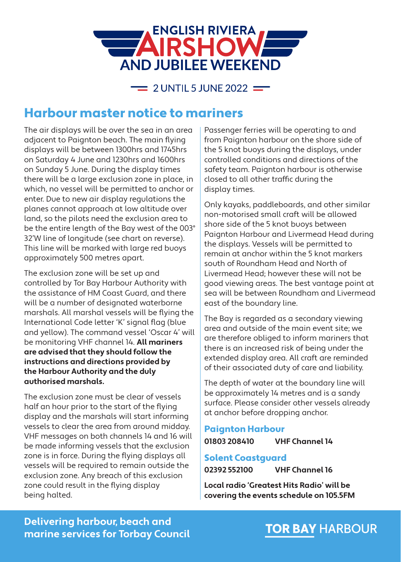

 $\equiv$  2 UNTIL 5 JUNE 2022  $\equiv$ 

## Harbour master notice to mariners

The air displays will be over the sea in an area adjacent to Paignton beach. The main flying displays will be between 1300hrs and 1745hrs on Saturday 4 June and 1230hrs and 1600hrs on Sunday 5 June. During the display times there will be a large exclusion zone in place, in which, no vessel will be permitted to anchor or enter. Due to new air display regulations the planes cannot approach at low altitude over land, so the pilots need the exclusion area to be the entire length of the Bay west of the 003° 32'W line of longitude (see chart on reverse). This line will be marked with large red buoys approximately 500 metres apart.

The exclusion zone will be set up and controlled by Tor Bay Harbour Authority with the assistance of HM Coast Guard, and there will be a number of designated waterborne marshals. All marshal vessels will be flying the International Code letter 'K' signal flag (blue and yellow). The command vessel 'Oscar 4' will be monitoring VHF channel 14. **All mariners are advised that they should follow the instructions and directions provided by the Harbour Authority and the duly authorised marshals.**

The exclusion zone must be clear of vessels half an hour prior to the start of the flying display and the marshals will start informing vessels to clear the area from around midday. VHF messages on both channels 14 and 16 will be made informing vessels that the exclusion zone is in force. During the flying displays all vessels will be required to remain outside the exclusion zone. Any breach of this exclusion zone could result in the flying display being halted.

Passenger ferries will be operating to and from Paignton harbour on the shore side of the 5 knot buoys during the displays, under controlled conditions and directions of the safety team. Paignton harbour is otherwise closed to all other traffic during the display times.

Only kayaks, paddleboards, and other similar non-motorised small craft will be allowed shore side of the 5 knot buoys between Paignton Harbour and Livermead Head during the displays. Vessels will be permitted to remain at anchor within the 5 knot markers south of Roundham Head and North of Livermead Head; however these will not be good viewing areas. The best vantage point at sea will be between Roundham and Livermead east of the boundary line.

The Bay is regarded as a secondary viewing area and outside of the main event site; we are therefore obliged to inform mariners that there is an increased risk of being under the extended display area. All craft are reminded of their associated duty of care and liability.

The depth of water at the boundary line will be approximately 14 metres and is a sandy surface. Please consider other vessels already at anchor before dropping anchor.

### Paignton Harbour

**01803 208410 VHF Channel 14**

#### Solent Coastguard

**02392 552100 VHF Channel 16**

**Local radio 'Greatest Hits Radio' will be covering the events schedule on 105.5FM**

### **Delivering harbour, beach and marine services for Torbay Council**

# **TOR BAY HARBOUR**